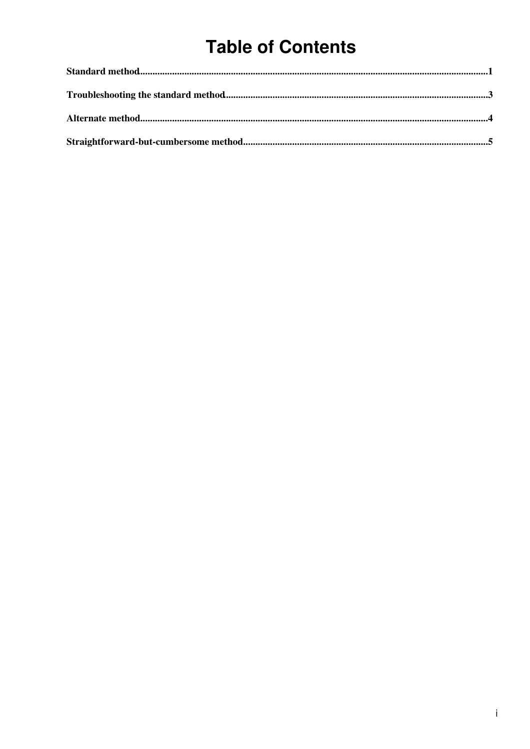# **Table of Contents**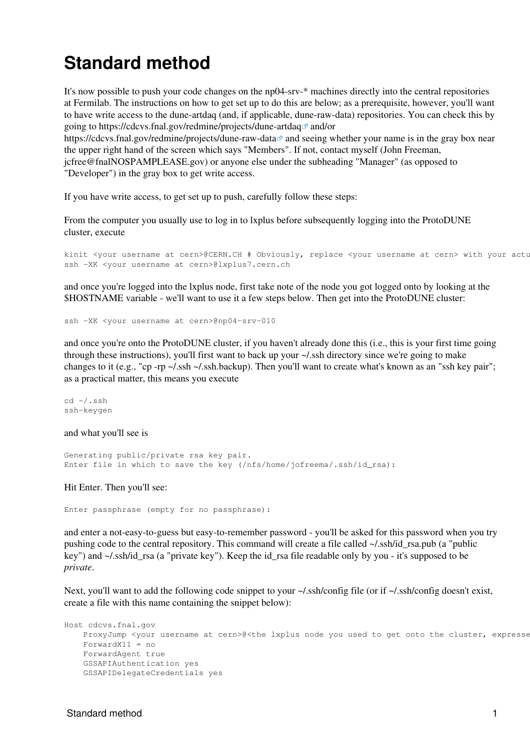## <span id="page-1-0"></span>**Standard method**

It's now possible to push your code changes on the np04-srv-\* machines directly into the central repositories at Fermilab. The instructions on how to get set up to do this are below; as a prerequisite, however, you'll want to have write access to the dune-artdaq (and, if applicable, dune-raw-data) repositories. You can check this by going to https://cdcvs.fnal.gov/redmine/projects/dune-artdaq<sup> $\alpha$ </sup> and/or

<https://cdcvs.fnal.gov/redmine/projects/dune-raw-data><sup>an</sup> and seeing whether your name is in the gray box near the upper right hand of the screen which says "Members". If not, contact myself (John Freeman, [jcfree@fnalNOSPAMPLEASE.gov\)](mailto:jcfree@fnalNOSPAMPLEASE.gov) or anyone else under the subheading "Manager" (as opposed to "Developer") in the gray box to get write access.

If you have write access, to get set up to push, carefully follow these steps:

From the computer you usually use to log in to lxplus before subsequently logging into the ProtoDUNE cluster, execute

kinit <your username at cern>@CERN.CH # Obviously, replace <your username at cern> with your actu ssh -XK <your username at cern>@lxplus7.cern.ch

and once you're logged into the lxplus node, first take note of the node you got logged onto by looking at the \$HOSTNAME variable - we'll want to use it a few steps below. Then get into the ProtoDUNE cluster:

ssh -XK <your username at cern>@np04-srv-010

and once you're onto the ProtoDUNE cluster, if you haven't already done this (i.e., this is your first time going through these instructions), you'll first want to back up your ~/.ssh directory since we're going to make changes to it (e.g., "cp -rp ~/.ssh ~/.ssh.backup). Then you'll want to create what's known as an "ssh key pair"; as a practical matter, this means you execute

```
cd ~/.ssh
ssh-keygen
```
and what you'll see is

```
Generating public/private rsa key pair.
Enter file in which to save the key (/nfs/home/jofreema/.ssh/id_rsa):
```
Hit Enter. Then you'll see:

Enter passphrase (empty for no passphrase):

and enter a not-easy-to-guess but easy-to-remember password - you'll be asked for this password when you try pushing code to the central repository. This command will create a file called ~/.ssh/id\_rsa.pub (a "public key") and ~/.ssh/id\_rsa (a "private key"). Keep the id\_rsa file readable only by you - it's supposed to be *private*.

Next, you'll want to add the following code snippet to your  $\sim$ /.ssh/config file (or if  $\sim$ /.ssh/config doesn't exist, create a file with this name containing the snippet below):

```
Host cdcvs.fnal.gov
   ProxyJump <your username at cern>@<the lxplus node you used to get onto the cluster, expresse
    ForwardX11 = no
     ForwardAgent true
     GSSAPIAuthentication yes
     GSSAPIDelegateCredentials yes
```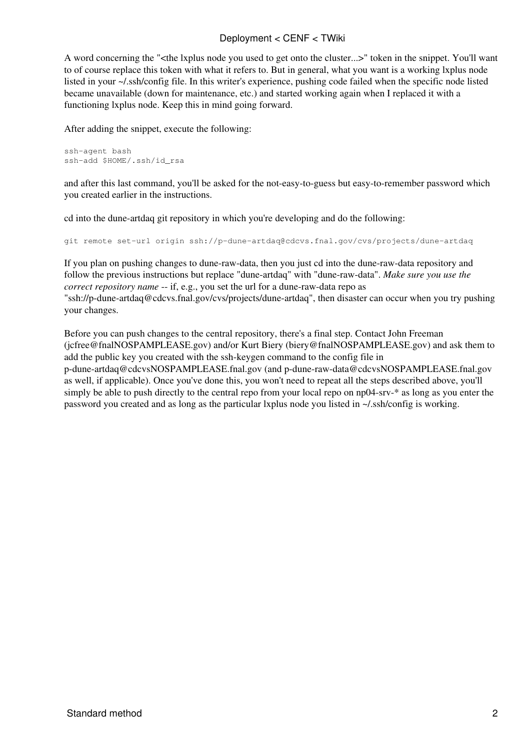#### Deployment < CENF < TWiki

A word concerning the "<the lxplus node you used to get onto the cluster...>" token in the snippet. You'll want to of course replace this token with what it refers to. But in general, what you want is a working lxplus node listed in your ~/.ssh/config file. In this writer's experience, pushing code failed when the specific node listed became unavailable (down for maintenance, etc.) and started working again when I replaced it with a functioning lxplus node. Keep this in mind going forward.

After adding the snippet, execute the following:

```
ssh-agent bash
ssh-add $HOME/.ssh/id_rsa
```
and after this last command, you'll be asked for the not-easy-to-guess but easy-to-remember password which you created earlier in the instructions.

cd into the dune-artdaq git repository in which you're developing and do the following:

git remote set-url origin ssh://p-dune-artdaq@cdcvs.fnal.gov/cvs/projects/dune-artdaq

If you plan on pushing changes to dune-raw-data, then you just cd into the dune-raw-data repository and follow the previous instructions but replace "dune-artdaq" with "dune-raw-data". *Make sure you use the correct repository name* -- if, e.g., you set the url for a dune-raw-data repo as "ssh://p-dune-artdaq@cdcvs.fnal.gov/cvs/projects/dune-artdaq", then disaster can occur when you try pushing your changes.

Before you can push changes to the central repository, there's a final step. Contact John Freeman ([jcfree@fnalNOSPAMPLEASE.gov](mailto:jcfree@fnalNOSPAMPLEASE.gov)) and/or Kurt Biery [\(biery@fnalNOSPAMPLEASE.gov\)](mailto:biery@fnalNOSPAMPLEASE.gov) and ask them to add the public key you created with the ssh-keygen command to the config file in [p-dune-artdaq@cdcvsNOSPAMPLEASE.fnal.gov](mailto:p-dune-artdaq@cdcvsNOSPAMPLEASE.fnal.gov) (and [p-dune-raw-data@cdcvsNOSPAMPLEASE.fnal.gov](mailto:p-dune-raw-data@cdcvsNOSPAMPLEASE.fnal.gov) as well, if applicable). Once you've done this, you won't need to repeat all the steps described above, you'll simply be able to push directly to the central repo from your local repo on np04-srv-\* as long as you enter the password you created and as long as the particular lxplus node you listed in ~/.ssh/config is working.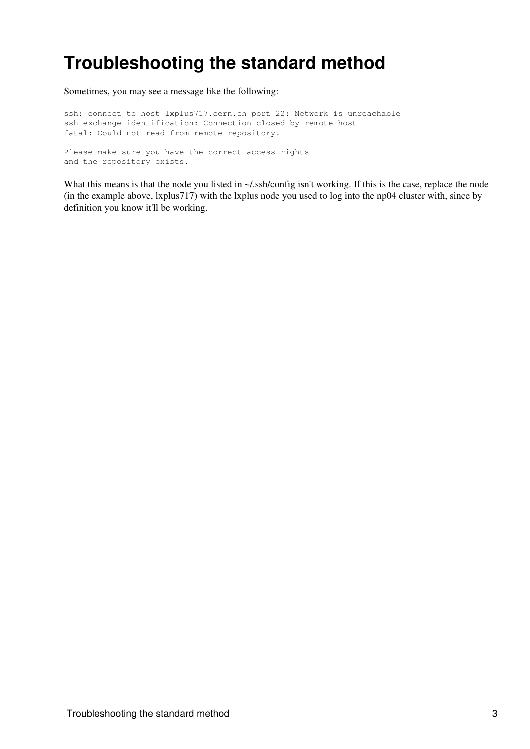## <span id="page-3-0"></span>**Troubleshooting the standard method**

Sometimes, you may see a message like the following:

ssh: connect to host lxplus717.cern.ch port 22: Network is unreachable ssh\_exchange\_identification: Connection closed by remote host fatal: Could not read from remote repository.

Please make sure you have the correct access rights and the repository exists.

What this means is that the node you listed in  $\sim$ /.ssh/config isn't working. If this is the case, replace the node (in the example above, lxplus717) with the lxplus node you used to log into the np04 cluster with, since by definition you know it'll be working.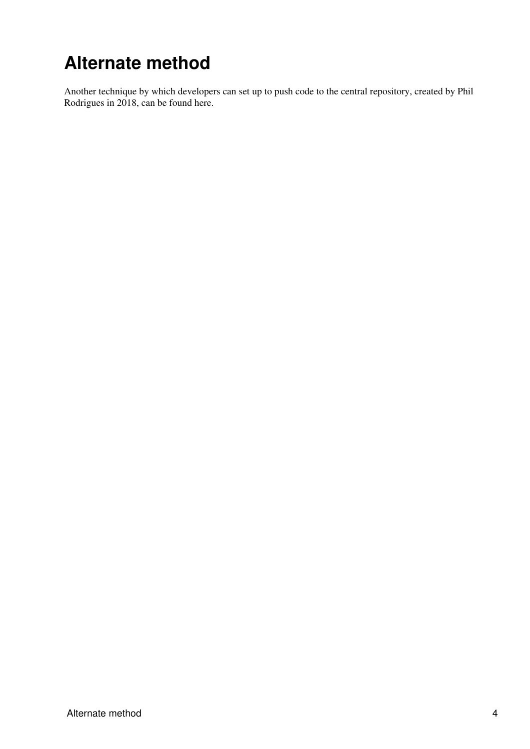# <span id="page-4-0"></span>**Alternate method**

Another technique by which developers can set up to push code to the central repository, created by Phil Rodrigues in 2018, can be found [here](https://twiki.cern.ch/twiki/bin/view/CENF/PdspFNALGitPush).